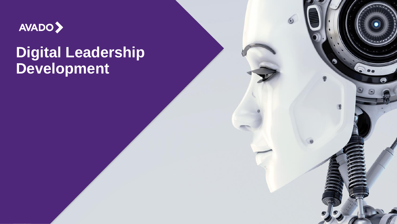

## **Digital Leadership Development**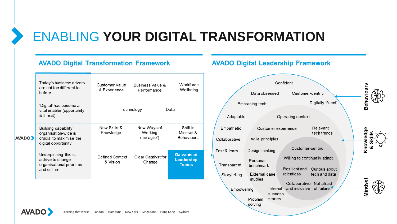### ENABLING **YOUR DIGITAL TRANSFORMATION**

### **AVADO Digital Transformation Framework**

| <b>AVADO</b> | Today's business drivers<br>are not too different to<br>before                                | Customer Value<br>& Experience | Business Value &<br>Performance        | Workforce<br>Wellbeing                          |
|--------------|-----------------------------------------------------------------------------------------------|--------------------------------|----------------------------------------|-------------------------------------------------|
|              | 'Digital' has become a<br>vital enabler (opportunity<br>& threat)                             |                                | Technology                             | Data                                            |
|              | Building capability<br>organisation-wide is<br>crucial to maximise the<br>digital opportunity | New Skills &<br>Knowledge      | New Ways of<br>Working<br>('be agile') | Shift in<br>Mindset &<br><b>Behaviours</b>      |
|              | Underpinning this is<br>a drive to change<br>organisational priorities<br>and culture         | Defined Context<br>& Vision    | Clear Catalyst for<br>Change           | <b>Galvanised</b><br>Leadership<br><b>Teams</b> |
|              |                                                                                               |                                |                                        |                                                 |

### **AVADO Digital Leadership Framework**



**AVADO**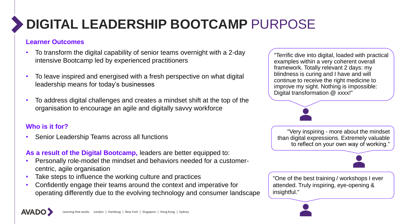# **DIGITAL LEADERSHIP BOOTCAMP** PURPOSE

### **Learner Outcomes**

- To transform the digital capability of senior teams overnight with a 2-day intensive Bootcamp led by experienced practitioners
- To leave inspired and energised with a fresh perspective on what digital leadership means for today's businesses
- To address digital challenges and creates a mindset shift at the top of the organisation to encourage an agile and digitally savvy workforce

### **Who is it for?**

• Senior Leadership Teams across all functions

**As a result of the Digital Bootcamp,** leaders are better equipped to:

- Personally role-model the mindset and behaviors needed for a customercentric, agile organisation
- Take steps to influence the working culture and practices
- Confidently engage their teams around the context and imperative for operating differently due to the evolving technology and consumer landscape

"Terrific dive into digital, loaded with practical examples within a very coherent overall framework. Totally relevant 2 days: my blindness is curing and I have and will continue to receive the right medicine to improve my sight. Nothing is impossible: Digital transformation @ xxxx!"

"Very inspiring - more about the mindset than digital expressions. Extremely valuable to reflect on your own way of working."

"One of the best training / workshops I ever attended. Truly inspiring, eye-opening & insightful."

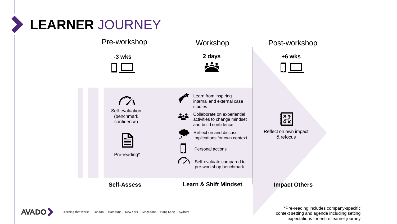# **LEARNER** JOURNEY





\*Pre-reading includes company-specific context setting and agenda including setting expectations for entire learner journey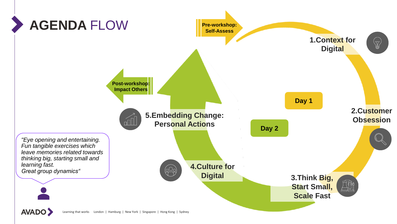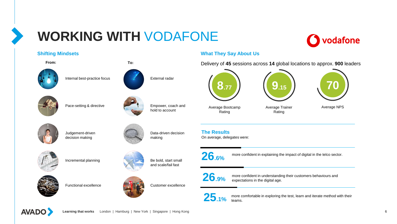## **WORKING WITH** VODAFONE



#### **Shifting Mindsets**



#### **What They Say About Us**

**From: To:** Delivery of **45** sessions across **14** global locations to approx. **900** leaders





Average Trainer Rating



Average NPS





**26.6%**

**The Results**

On average, delegates were:

Average Bootcamp Rating

more confident in explaining the impact of digital in the telco sector.



more confident in understanding their customers behaviours and expectations in the digital age.



more comfortable in exploring the test, learn and iterate method with their teams.